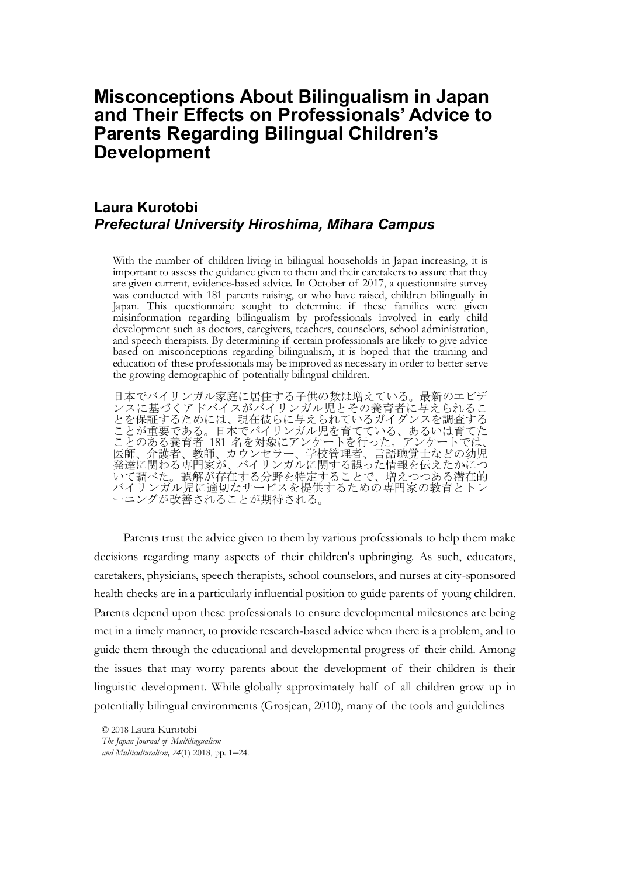# **Misconceptions About Bilingualism in Japan**  and Their Effects on Professionals' Advice to Parents Regarding Bilingual Children's **Development**

## **Laura Kurotobi** *Prefectural University Hiroshima, Mihara Campus*

With the number of children living in bilingual households in Japan increasing, it is important to assess the guidance given to them and their caretakers to assure that they are given current, evidence-based advice. In October of 2017, a questionnaire survey was conducted with 181 parents raising, or who have raised, children bilingually in Japan. This questionnaire sought to determine if these families were given misinformation regarding bilingualism by professionals involved in early child development such as doctors, caregivers, teachers, counselors, school administration, and speech therapists. By determining if certain professionals are likely to give advice based on misconceptions regarding bilingualism, it is hoped that the training and education of these professionals may be improved as necessary in order to better serve the growing demographic of potentially bilingual children.

日本でバイリンガル家庭に居住する子供の数は増えている。最新のエビデ ンスに基づくアドバイスがバイリンガル児とその養育者に与えられるこ とを保証するためには、現在彼らに与えられているガイダンスを調査する ことが重要である。日本でバイリンガル児を育てている、あるいは育てた ことのある養育者 181 名を対象にアンケートを行った。アンケートでは、 医師、介護者、教師、カウンセラー、学校管理者、言語聴覚士などの幼児 ||<br>発達に関わる専門家が、 バイリンガルに関する誤った情報を伝えたかにつ いて調べた。誤解が存在する分野を特定することで、増えつつある潜在的 バイリンガル児に適切なサービスを提供するための専門家の教育とトレ ーニングが改善されることが期待される。

Parents trust the advice given to them by various professionals to help them make decisions regarding many aspects of their children's upbringing. As such, educators, caretakers, physicians, speech therapists, school counselors, and nurses at city-sponsored health checks are in a particularly influential position to guide parents of young children. Parents depend upon these professionals to ensure developmental milestones are being met in a timely manner, to provide research-based advice when there is a problem, and to guide them through the educational and developmental progress of their child. Among the issues that may worry parents about the development of their children is their linguistic development. While globally approximately half of all children grow up in potentially bilingual environments (Grosjean, 2010), many of the tools and guidelines

© 2018 Laura Kurotobi

The Japan Journal of Multilingualism and Multiculturalism,  $24(1)$  2018, pp. 1-24.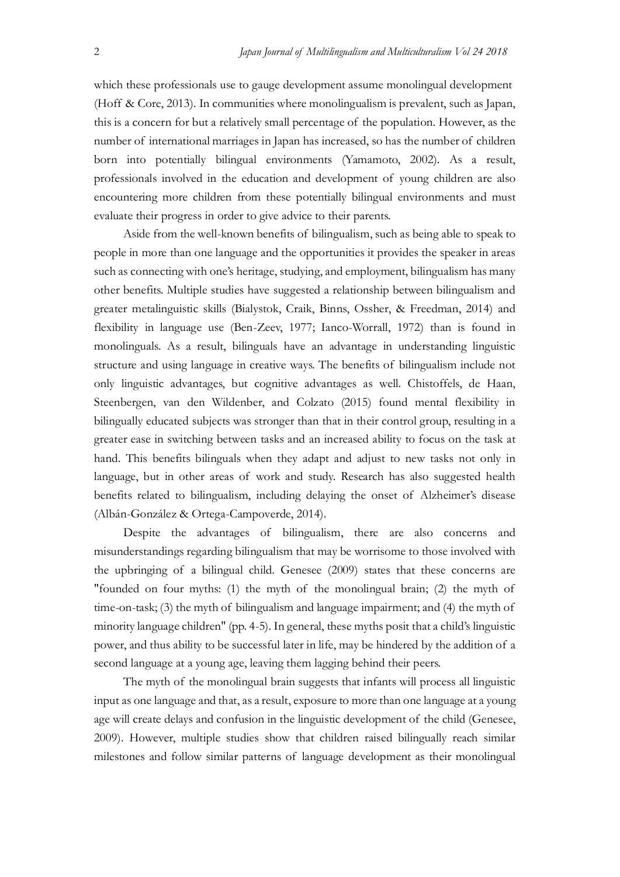which these professionals use to gauge development assume monolingual development (Hoff & Core, 2013). In communities where monolingualism is prevalent, such as Japan, this is a concern for but a relatively small percentage of the population. However, as the number of international marriages in Japan has increased, so has the number of children born into potentially bilingual environments (Yamamoto, 2002). As a result, professionals involved in the education and development of young children are also encountering more children from these potentially bilingual environments and must evaluate their progress in order to give advice to their parents.

Aside from the well-known benefits of bilingualism, such as being able to speak to people in more than one language and the opportunities it provides the speaker in areas such as connecting with one's heritage, studying, and employment, bilingualism has many other benefits. Multiple studies have suggested a relationship between bilingualism and greater metalinguistic skills (Bialystok, Craik, Binns, Ossher, & Freedman, 2014) and flexibility in language use (Ben-Zeev, 1977; Ianco-Worrall, 1972) than is found in monolinguals. As a result, bilinguals have an advantage in understanding linguistic structure and using language in creative ways. The benefits of bilingualism include not only linguistic advantages, but cognitive advantages as well. Chistoffels, de Haan, Steenbergen, van den Wildenber, and Colzato (2015) found mental flexibility in bilingually educated subjects was stronger than that in their control group, resulting in a greater ease in switching between tasks and an increased ability to focus on the task at hand. This benefits bilinguals when they adapt and adjust to new tasks not only in language, but in other areas of work and study. Research has also suggested health benefits related to bilingualism, including delaying the onset of Alzheimer's disease (Albán-González & Ortega-Campoverde, 2014).

Despite the advantages of bilingualism, there are also concerns and misunderstandings regarding bilingualism that may be worrisome to those involved with the upbringing of a bilingual child. Genesee (2009) states that these concerns are "founded on four myths: (1) the myth of the monolingual brain; (2) the myth of time-on-task; (3) the myth of bilingualism and language impairment; and (4) the myth of minority language children" (pp. 4-5). In general, these myths posit that a child's linguistic power, and thus ability to be successful later in life, may be hindered by the addition of a second language at a young age, leaving them lagging behind their peers.

The myth of the monolingual brain suggests that infants will process all linguistic input as one language and that, as a result, exposure to more than one language at a young age will create delays and confusion in the linguistic development of the child (Genesee, 2009). However, multiple studies show that children raised bilingually reach similar milestones and follow similar patterns of language development as their monolingual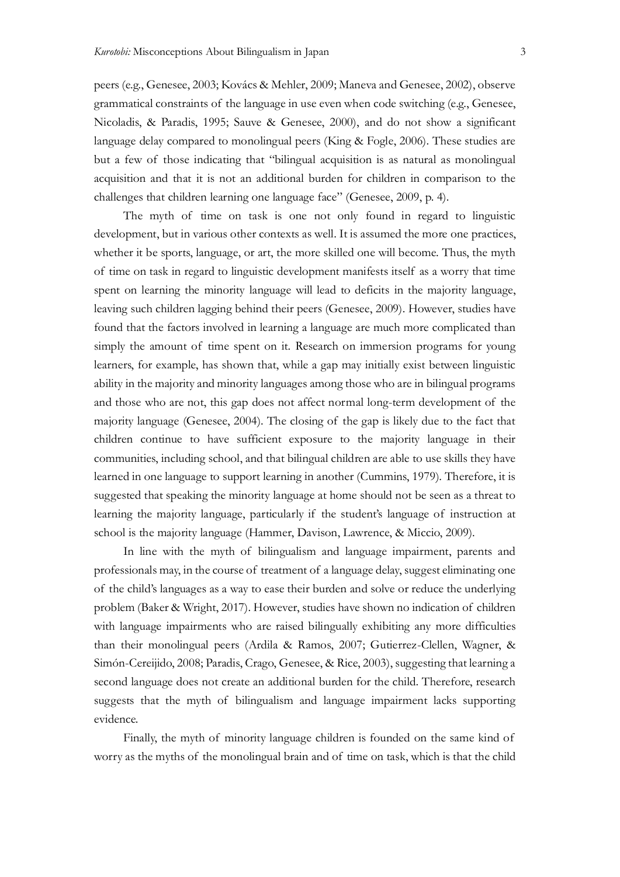peers (e.g., Genesee, 2003; Kovács & Mehler, 2009; Maneva and Genesee, 2002), observe grammatical constraints of the language in use even when code switching (e.g., Genesee, Nicoladis, & Paradis, 1995; Sauve & Genesee, 2000), and do not show a significant language delay compared to monolingual peers (King & Fogle, 2006). These studies are but a few of those indicating that "bilingual acquisition is as natural as monolingual acquisition and that it is not an additional burden for children in comparison to the challenges that children learning one language face" (Genesee, 2009, p. 4).

The myth of time on task is one not only found in regard to linguistic development, but in various other contexts as well. It is assumed the more one practices, whether it be sports, language, or art, the more skilled one will become. Thus, the myth of time on task in regard to linguistic development manifests itself as a worry that time spent on learning the minority language will lead to deficits in the majority language, leaving such children lagging behind their peers (Genesee, 2009). However, studies have found that the factors involved in learning a language are much more complicated than simply the amount of time spent on it. Research on immersion programs for young learners, for example, has shown that, while a gap may initially exist between linguistic ability in the majority and minority languages among those who are in bilingual programs and those who are not, this gap does not affect normal long-term development of the majority language (Genesee, 2004). The closing of the gap is likely due to the fact that children continue to have sufficient exposure to the majority language in their communities, including school, and that bilingual children are able to use skills they have learned in one language to support learning in another (Cummins, 1979). Therefore, it is suggested that speaking the minority language at home should not be seen as a threat to learning the majority language, particularly if the student's language of instruction at school is the majority language (Hammer, Davison, Lawrence, & Miccio, 2009).

In line with the myth of bilingualism and language impairment, parents and professionals may, in the course of treatment of a language delay, suggest eliminating one of the child's languages as a way to ease their burden and solve or reduce the underlying problem (Baker & Wright, 2017). However, studies have shown no indication of children with language impairments who are raised bilingually exhibiting any more difficulties than their monolingual peers (Ardila & Ramos, 2007; Gutierrez-Clellen, Wagner, & Simón-Cereijido, 2008; Paradis, Crago, Genesee, & Rice, 2003), suggesting that learning a second language does not create an additional burden for the child. Therefore, research suggests that the myth of bilingualism and language impairment lacks supporting evidence.

Finally, the myth of minority language children is founded on the same kind of worry as the myths of the monolingual brain and of time on task, which is that the child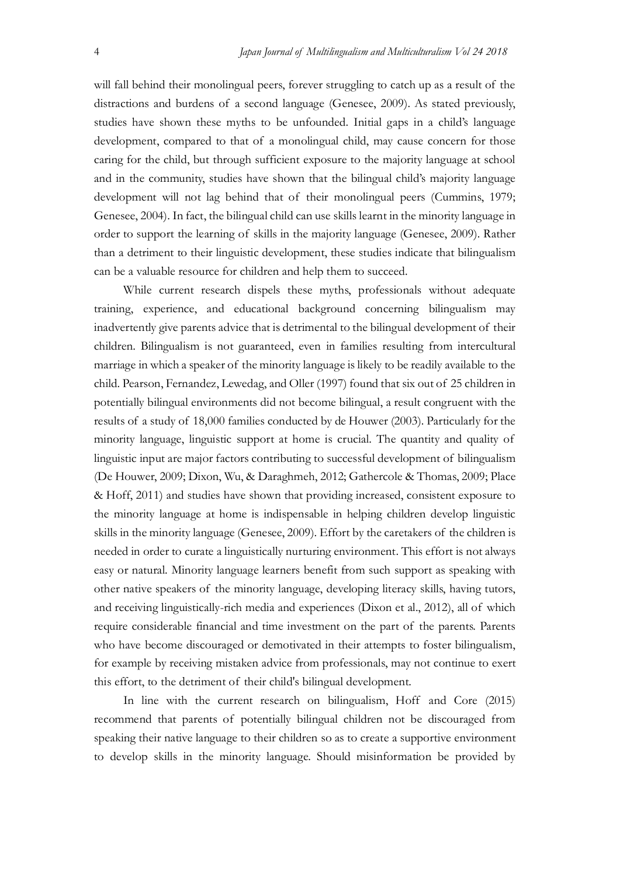will fall behind their monolingual peers, forever struggling to catch up as a result of the distractions and burdens of a second language (Genesee, 2009). As stated previously, studies have shown these myths to be unfounded. Initial gaps in a child's language development, compared to that of a monolingual child, may cause concern for those caring for the child, but through sufficient exposure to the majority language at school and in the community, studies have shown that the bilingual child's majority language development will not lag behind that of their monolingual peers (Cummins, 1979; Genesee, 2004). In fact, the bilingual child can use skills learnt in the minority language in order to support the learning of skills in the majority language (Genesee, 2009). Rather than a detriment to their linguistic development, these studies indicate that bilingualism can be a valuable resource for children and help them to succeed.

While current research dispels these myths, professionals without adequate training, experience, and educational background concerning bilingualism may inadvertently give parents advice that is detrimental to the bilingual development of their children. Bilingualism is not guaranteed, even in families resulting from intercultural marriage in which a speaker of the minority language is likely to be readily available to the child. Pearson, Fernandez, Lewedag, and Oller (1997) found that six out of 25 children in potentially bilingual environments did not become bilingual, a result congruent with the results of a study of 18,000 families conducted by de Houwer (2003). Particularly for the minority language, linguistic support at home is crucial. The quantity and quality of linguistic input are major factors contributing to successful development of bilingualism (De Houwer, 2009; Dixon, Wu, & Daraghmeh, 2012; Gathercole & Thomas, 2009; Place & Hoff, 2011) and studies have shown that providing increased, consistent exposure to the minority language at home is indispensable in helping children develop linguistic skills in the minority language (Genesee, 2009). Effort by the caretakers of the children is needed in order to curate a linguistically nurturing environment. This effort is not always easy or natural. Minority language learners benefit from such support as speaking with other native speakers of the minority language, developing literacy skills, having tutors, and receiving linguistically-rich media and experiences (Dixon et al., 2012), all of which require considerable financial and time investment on the part of the parents. Parents who have become discouraged or demotivated in their attempts to foster bilingualism, for example by receiving mistaken advice from professionals, may not continue to exert this effort, to the detriment of their child's bilingual development.

In line with the current research on bilingualism, Hoff and Core (2015) recommend that parents of potentially bilingual children not be discouraged from speaking their native language to their children so as to create a supportive environment to develop skills in the minority language. Should misinformation be provided by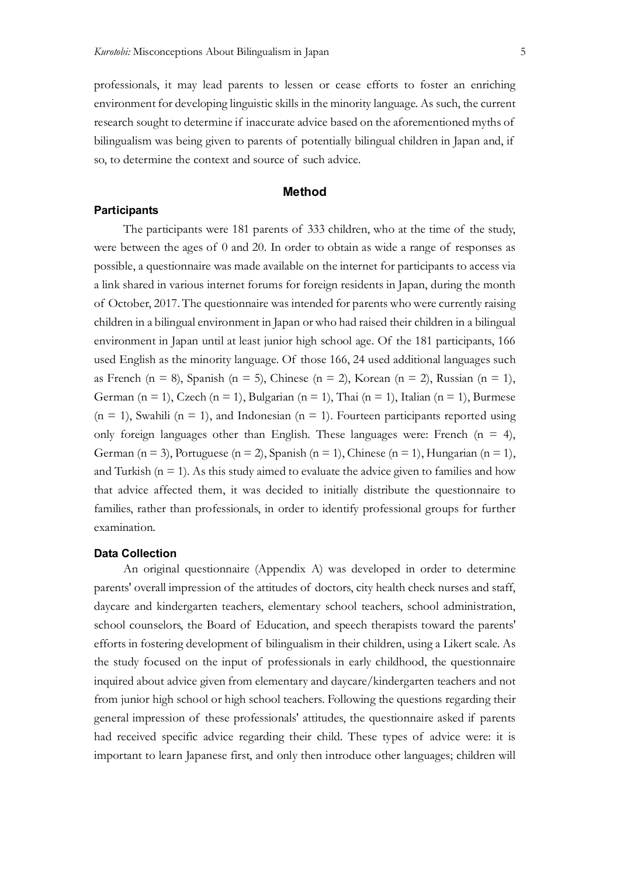professionals, it may lead parents to lessen or cease efforts to foster an enriching environment for developing linguistic skills in the minority language. As such, the current research sought to determine if inaccurate advice based on the aforementioned myths of bilingualism was being given to parents of potentially bilingual children in Japan and, if so, to determine the context and source of such advice.

## **Method**

#### **Participants**

The participants were 181 parents of 333 children, who at the time of the study, were between the ages of 0 and 20. In order to obtain as wide a range of responses as possible, a questionnaire was made available on the internet for participants to access via a link shared in various internet forums for foreign residents in Japan, during the month of October, 2017. The questionnaire was intended for parents who were currently raising children in a bilingual environment in Japan or who had raised their children in a bilingual environment in Japan until at least junior high school age. Of the 181 participants, 166 used English as the minority language. Of those 166, 24 used additional languages such as French (n = 8), Spanish (n = 5), Chinese (n = 2), Korean (n = 2), Russian (n = 1), German (n = 1), Czech (n = 1), Bulgarian (n = 1), Thai (n = 1), Italian (n = 1), Burmese  $(n = 1)$ , Swahili  $(n = 1)$ , and Indonesian  $(n = 1)$ . Fourteen participants reported using only foreign languages other than English. These languages were: French  $(n = 4)$ , German (n = 3), Portuguese (n = 2), Spanish (n = 1), Chinese (n = 1), Hungarian (n = 1), and Turkish  $(n = 1)$ . As this study aimed to evaluate the advice given to families and how that advice affected them, it was decided to initially distribute the questionnaire to families, rather than professionals, in order to identify professional groups for further examination.

#### **Data Collection**

An original questionnaire (Appendix A) was developed in order to determine parents' overall impression of the attitudes of doctors, city health check nurses and staff, daycare and kindergarten teachers, elementary school teachers, school administration, school counselors, the Board of Education, and speech therapists toward the parents' efforts in fostering development of bilingualism in their children, using a Likert scale. As the study focused on the input of professionals in early childhood, the questionnaire inquired about advice given from elementary and daycare/kindergarten teachers and not from junior high school or high school teachers. Following the questions regarding their general impression of these professionals' attitudes, the questionnaire asked if parents had received specific advice regarding their child. These types of advice were: it is important to learn Japanese first, and only then introduce other languages; children will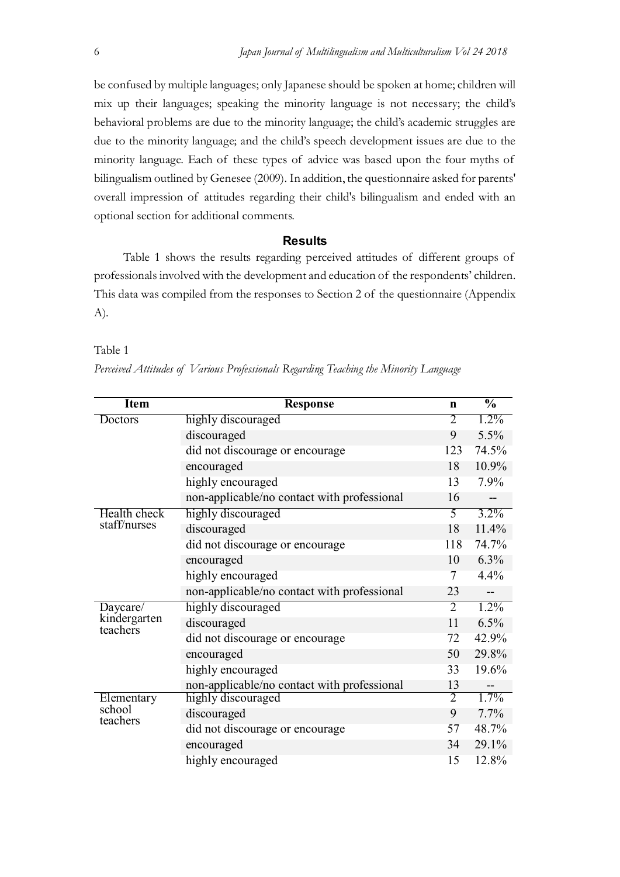be confused by multiple languages; only Japanese should be spoken at home; children will mix up their languages; speaking the minority language is not necessary; the child's behavioral problems are due to the minority language; the child's academic struggles are due to the minority language; and the child's speech development issues are due to the minority language. Each of these types of advice was based upon the four myths of bilingualism outlined by Genesee (2009). In addition, the questionnaire asked for parents' overall impression of attitudes regarding their child's bilingualism and ended with an optional section for additional comments.

## **Results**

Table 1 shows the results regarding perceived attitudes of different groups of professionals involved with the development and education of the respondents' children. This data was compiled from the responses to Section 2 of the questionnaire (Appendix A).

## Table 1

| Item                     | <b>Response</b>                             | n              | $\frac{0}{0}$ |
|--------------------------|---------------------------------------------|----------------|---------------|
| Doctors                  | highly discouraged                          | 2              | $1.2\%$       |
|                          | discouraged                                 | 9              | 5.5%          |
|                          | did not discourage or encourage             | 123            | 74.5%         |
|                          | encouraged                                  | 18             | 10.9%         |
|                          | highly encouraged                           | 13             | 7.9%          |
|                          | non-applicable/no contact with professional | 16             |               |
| Health check             | highly discouraged                          | 5              | $3.2\%$       |
| staff/nurses             | discouraged                                 | 18             | 11.4%         |
|                          | did not discourage or encourage             | 118            | 74.7%         |
|                          | encouraged                                  | 10             | $6.3\%$       |
|                          | highly encouraged                           | 7              | 4.4%          |
|                          | non-applicable/no contact with professional | 23             |               |
| Daycare/                 | highly discouraged                          | $\overline{2}$ | $1.2\%$       |
| kindergarten<br>teachers | discouraged                                 | 11             | 6.5%          |
|                          | did not discourage or encourage             | 72             | 42.9%         |
|                          | encouraged                                  | 50             | 29.8%         |
|                          | highly encouraged                           | 33             | 19.6%         |
|                          | non-applicable/no contact with professional | 13             |               |
| Elementary<br>school     | highly discouraged                          | $\overline{2}$ | $1.7\%$       |
| teachers                 | discouraged                                 | 9              | 7.7%          |
|                          | did not discourage or encourage             | 57             | 48.7%         |
|                          | encouraged                                  | 34             | 29.1%         |
|                          | highly encouraged                           | 15             | 12.8%         |

Perceived Attitudes of Various Professionals Regarding Teaching the Minority Language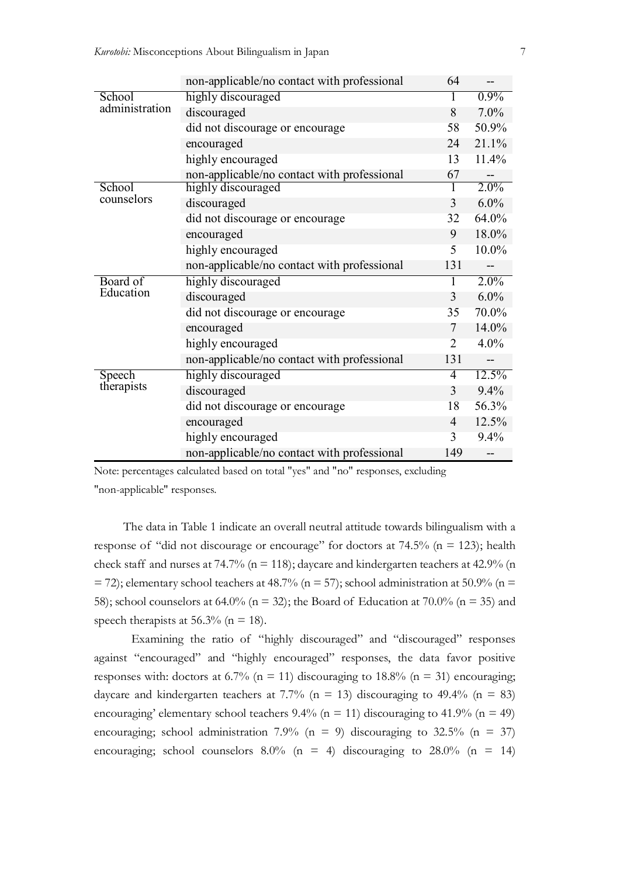|                | non-applicable/no contact with professional | 64             |          |
|----------------|---------------------------------------------|----------------|----------|
| School         | highly discouraged                          |                | $0.9\%$  |
| administration | discouraged                                 | 8              | $7.0\%$  |
|                | did not discourage or encourage             | 58             | 50.9%    |
|                | encouraged                                  | 24             | 21.1%    |
|                | highly encouraged                           | 13             | 11.4%    |
|                | non-applicable/no contact with professional | 67             |          |
| School         | highly discouraged                          |                | $2.0\%$  |
| counselors     | discouraged                                 | 3              | $6.0\%$  |
|                | did not discourage or encourage             | 32             | 64.0%    |
|                | encouraged                                  | 9              | 18.0%    |
|                | highly encouraged                           | 5              | 10.0%    |
|                | non-applicable/no contact with professional | 131            |          |
| Board of       | highly discouraged                          |                | $2.0\%$  |
| Education      | discouraged                                 | 3              | $6.0\%$  |
|                | did not discourage or encourage             | 35             | 70.0%    |
|                | encouraged                                  | 7              | 14.0%    |
|                | highly encouraged                           | $\overline{2}$ | $4.0\%$  |
|                | non-applicable/no contact with professional | 131            |          |
| Speech         | highly discouraged                          | 4              | $12.5\%$ |
| therapists     | discouraged                                 | 3              | 9.4%     |
|                | did not discourage or encourage             | 18             | 56.3%    |
|                | encouraged                                  | $\overline{4}$ | 12.5%    |
|                | highly encouraged                           | $\overline{3}$ | 9.4%     |
|                | non-applicable/no contact with professional | 149            |          |

Note: percentages calculated based on total "yes" and "no" responses, excluding

"non-applicable" responses.

The data in Table 1 indicate an overall neutral attitude towards bilingualism with a response of "did not discourage or encourage" for doctors at 74.5% (n = 123); health check staff and nurses at 74.7% ( $n = 118$ ); daycare and kindergarten teachers at 42.9% (n  $=$  72); elementary school teachers at 48.7% (n = 57); school administration at 50.9% (n = 58); school counselors at 64.0% ( $n = 32$ ); the Board of Education at 70.0% ( $n = 35$ ) and speech therapists at 56.3% ( $n = 18$ ).

Examining the ratio of "highly discouraged" and "discouraged" responses against "encouraged" and "highly encouraged" responses, the data favor positive responses with: doctors at 6.7% ( $n = 11$ ) discouraging to 18.8% ( $n = 31$ ) encouraging; daycare and kindergarten teachers at 7.7% ( $n = 13$ ) discouraging to 49.4% ( $n = 83$ ) encouraging' elementary school teachers 9.4% ( $n = 11$ ) discouraging to 41.9% ( $n = 49$ ) encouraging; school administration 7.9% (n = 9) discouraging to 32.5% (n = 37) encouraging; school counselors  $8.0\%$  (n = 4) discouraging to  $28.0\%$  (n = 14)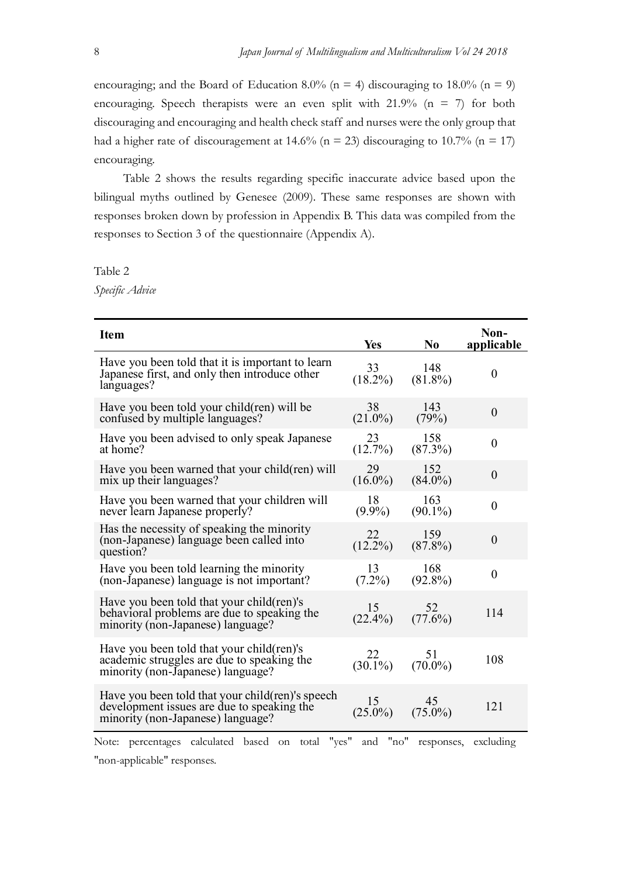encouraging; and the Board of Education 8.0% ( $n = 4$ ) discouraging to 18.0% ( $n = 9$ ) encouraging. Speech therapists were an even split with  $21.9\%$  (n = 7) for both discouraging and encouraging and health check staff and nurses were the only group that had a higher rate of discouragement at 14.6% ( $n = 23$ ) discouraging to 10.7% ( $n = 17$ ) encouraging.

Table 2 shows the results regarding specific inaccurate advice based upon the bilingual myths outlined by Genesee (2009). These same responses are shown with responses broken down by profession in Appendix B. This data was compiled from the responses to Section 3 of the questionnaire (Appendix A).

Table 2

Specific Advice

| <b>Item</b>                                                                                                                          | Yes              | N <sub>0</sub>    | Non-<br>applicable |
|--------------------------------------------------------------------------------------------------------------------------------------|------------------|-------------------|--------------------|
| Have you been told that it is important to learn<br>Japanese first, and only then introduce other<br>languages?                      | 33<br>$(18.2\%)$ | 148<br>$(81.8\%)$ | $\theta$           |
| Have you been told your child(ren) will be<br>confused by multiple languages?                                                        | 38<br>$(21.0\%)$ | 143<br>(79%)      | $\theta$           |
| Have you been advised to only speak Japanese<br>at home?                                                                             | 23<br>(12.7%)    | 158<br>(87.3%)    | $\overline{0}$     |
| Have you been warned that your child (ren) will<br>mix up their languages?                                                           | 29<br>$(16.0\%)$ | 152<br>$(84.0\%)$ | $\overline{0}$     |
| Have you been warned that your children will<br>never learn Japanese properly?                                                       | 18<br>$(9.9\%)$  | 163<br>$(90.1\%)$ | $\theta$           |
| Has the necessity of speaking the minority<br>(non-Japanese) language been called into<br>question?                                  | 22<br>$(12.2\%)$ | 159<br>$(87.8\%)$ | $\overline{0}$     |
| Have you been told learning the minority<br>(non-Japanese) language is not important?                                                | 13<br>$(7.2\%)$  | 168<br>$(92.8\%)$ | $\theta$           |
| Have you been told that your child(ren)'s<br>behavioral problems are due to speaking the<br>minority (non-Japanese) language?        | 15<br>$(22.4\%)$ | 52<br>$(77.6\%)$  | 114                |
| Have you been told that your child (ren)'s<br>academic struggles are due to speaking the<br>minority (non-Japanese) language?        | 22<br>$(30.1\%)$ | 51<br>$(70.0\%)$  | 108                |
| Have you been told that your child (ren)'s speech<br>development issues are due to speaking the<br>minority (non-Japanese) language? | 15<br>$(25.0\%)$ | 45<br>$(75.0\%)$  | 121                |

Note: percentages calculated based on total "yes" and "no" responses, excluding "non-applicable" responses.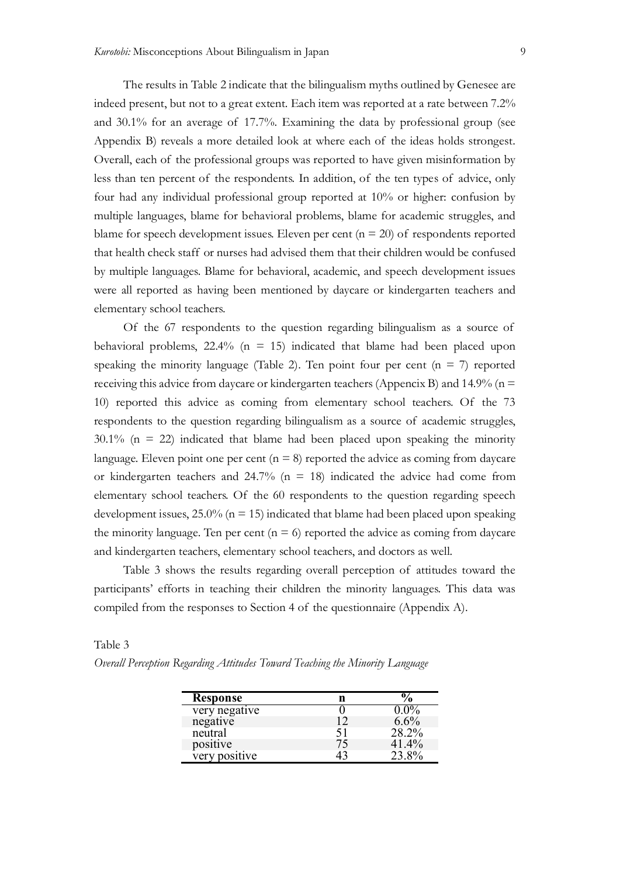The results in Table 2 indicate that the bilingualism myths outlined by Genesee are indeed present, but not to a great extent. Each item was reported at a rate between 7.2% and 30.1% for an average of 17.7%. Examining the data by professional group (see Appendix B) reveals a more detailed look at where each of the ideas holds strongest. Overall, each of the professional groups was reported to have given misinformation by less than ten percent of the respondents. In addition, of the ten types of advice, only four had any individual professional group reported at 10% or higher: confusion by multiple languages, blame for behavioral problems, blame for academic struggles, and blame for speech development issues. Eleven per cent  $(n = 20)$  of respondents reported that health check staff or nurses had advised them that their children would be confused by multiple languages. Blame for behavioral, academic, and speech development issues were all reported as having been mentioned by daycare or kindergarten teachers and elementary school teachers.

Of the 67 respondents to the question regarding bilingualism as a source of behavioral problems,  $22.4\%$  (n = 15) indicated that blame had been placed upon speaking the minority language (Table 2). Ten point four per cent  $(n = 7)$  reported receiving this advice from daycare or kindergarten teachers (Appencix B) and  $14.9\%$  (n = 10) reported this advice as coming from elementary school teachers. Of the 73 respondents to the question regarding bilingualism as a source of academic struggles,  $30.1\%$  (n = 22) indicated that blame had been placed upon speaking the minority language. Eleven point one per cent  $(n = 8)$  reported the advice as coming from daycare or kindergarten teachers and 24.7% ( $n = 18$ ) indicated the advice had come from elementary school teachers. Of the 60 respondents to the question regarding speech development issues,  $25.0\%$  ( $n = 15$ ) indicated that blame had been placed upon speaking the minority language. Ten per cent  $(n = 6)$  reported the advice as coming from daycare and kindergarten teachers, elementary school teachers, and doctors as well.

Table 3 shows the results regarding overall perception of attitudes toward the participants' efforts in teaching their children the minority languages. This data was compiled from the responses to Section 4 of the questionnaire (Appendix A).

Table 3

|  | Overall Perception Regarding Attitudes Toward Teaching the Minority Language |  |  |  |
|--|------------------------------------------------------------------------------|--|--|--|
|  |                                                                              |  |  |  |

| <b>Response</b> |    |         |
|-----------------|----|---------|
| very negative   |    |         |
| negative        |    | $6.6\%$ |
| neutral         | 51 | 28.2%   |
| positive        |    | 41.4%   |
| very positive   |    |         |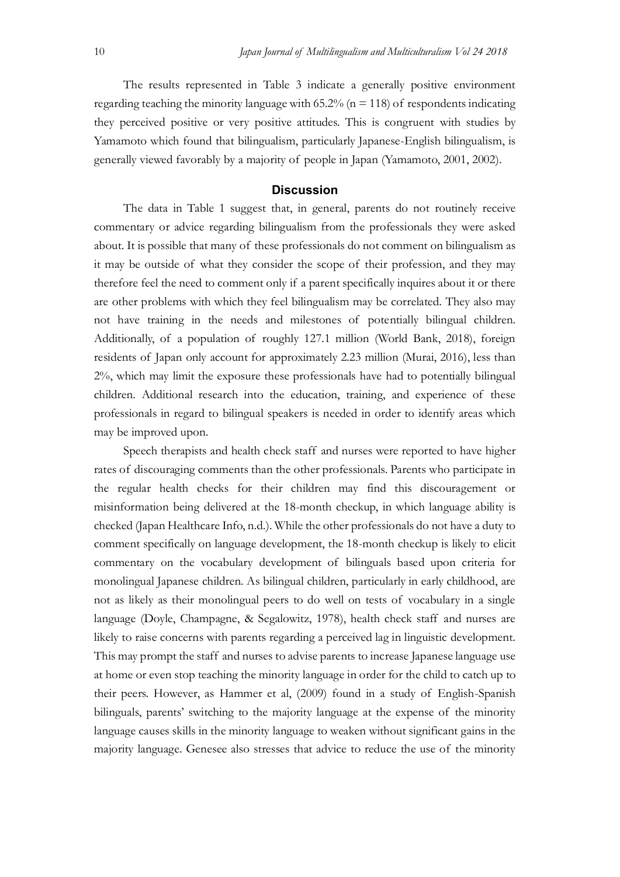The results represented in Table 3 indicate a generally positive environment regarding teaching the minority language with 65.2% ( $n = 118$ ) of respondents indicating they perceived positive or very positive attitudes. This is congruent with studies by Yamamoto which found that bilingualism, particularly Japanese-English bilingualism, is generally viewed favorably by a majority of people in Japan (Yamamoto, 2001, 2002).

## **Discussion**

The data in Table 1 suggest that, in general, parents do not routinely receive commentary or advice regarding bilingualism from the professionals they were asked about. It is possible that many of these professionals do not comment on bilingualism as it may be outside of what they consider the scope of their profession, and they may therefore feel the need to comment only if a parent specifically inquires about it or there are other problems with which they feel bilingualism may be correlated. They also may not have training in the needs and milestones of potentially bilingual children. Additionally, of a population of roughly 127.1 million (World Bank, 2018), foreign residents of Japan only account for approximately 2.23 million (Murai, 2016), less than 2%, which may limit the exposure these professionals have had to potentially bilingual children. Additional research into the education, training, and experience of these professionals in regard to bilingual speakers is needed in order to identify areas which may be improved upon.

Speech therapists and health check staff and nurses were reported to have higher rates of discouraging comments than the other professionals. Parents who participate in the regular health checks for their children may find this discouragement or misinformation being delivered at the 18-month checkup, in which language ability is checked (Japan Healthcare Info, n.d.). While the other professionals do not have a duty to comment specifically on language development, the 18-month checkup is likely to elicit commentary on the vocabulary development of bilinguals based upon criteria for monolingual Japanese children. As bilingual children, particularly in early childhood, are not as likely as their monolingual peers to do well on tests of vocabulary in a single language (Doyle, Champagne, & Segalowitz, 1978), health check staff and nurses are likely to raise concerns with parents regarding a perceived lag in linguistic development. This may prompt the staff and nurses to advise parents to increase Japanese language use at home or even stop teaching the minority language in order for the child to catch up to their peers. However, as Hammer et al, (2009) found in a study of English-Spanish bilinguals, parents' switching to the majority language at the expense of the minority language causes skills in the minority language to weaken without significant gains in the majority language. Genesee also stresses that advice to reduce the use of the minority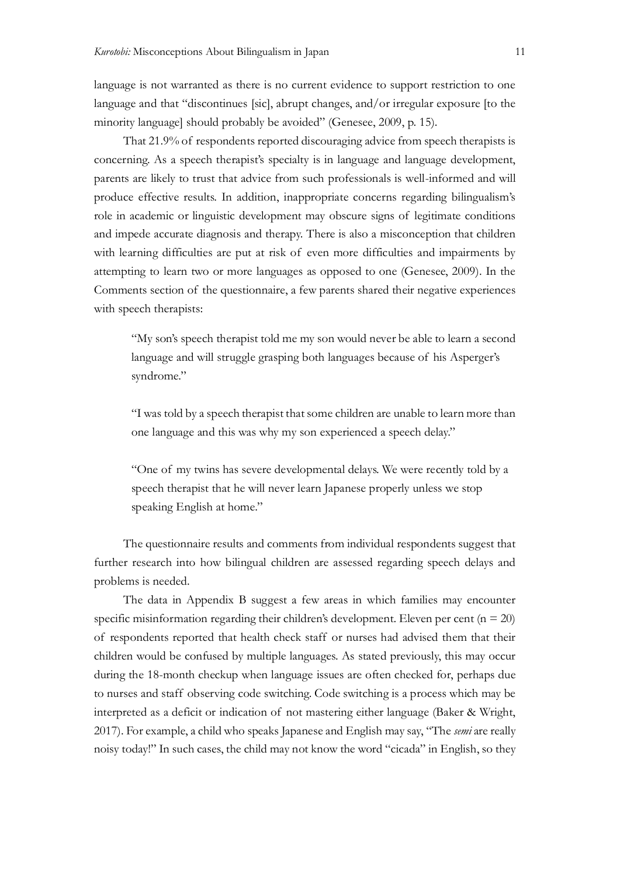language is not warranted as there is no current evidence to support restriction to one language and that "discontinues [sic], abrupt changes, and/or irregular exposure [to the minority language] should probably be avoided" (Genesee, 2009, p. 15).

That 21.9% of respondents reported discouraging advice from speech therapists is concerning. As a speech therapist's specialty is in language and language development, parents are likely to trust that advice from such professionals is well-informed and will produce effective results. In addition, inappropriate concerns regarding bilingualism's role in academic or linguistic development may obscure signs of legitimate conditions and impede accurate diagnosis and therapy. There is also a misconception that children with learning difficulties are put at risk of even more difficulties and impairments by attempting to learn two or more languages as opposed to one (Genesee, 2009). In the Comments section of the questionnaire, a few parents shared their negative experiences with speech therapists:

"My son's speech therapist told me my son would never be able to learn a second language and will struggle grasping both languages because of his Asperger's syndrome."

"I was told by a speech therapist that some children are unable to learn more than one language and this was why my son experienced a speech delay."

"One of my twins has severe developmental delays. We were recently told by a speech therapist that he will never learn Japanese properly unless we stop speaking English at home."

The questionnaire results and comments from individual respondents suggest that further research into how bilingual children are assessed regarding speech delays and problems is needed.

The data in Appendix B suggest a few areas in which families may encounter specific misinformation regarding their children's development. Eleven per cent ( $n = 20$ ) of respondents reported that health check staff or nurses had advised them that their children would be confused by multiple languages. As stated previously, this may occur during the 18-month checkup when language issues are often checked for, perhaps due to nurses and staff observing code switching. Code switching is a process which may be interpreted as a deficit or indication of not mastering either language (Baker & Wright, 2017). For example, a child who speaks Japanese and English may say, "The *semi* are really noisy today!" In such cases, the child may not know the word "cicada" in English, so they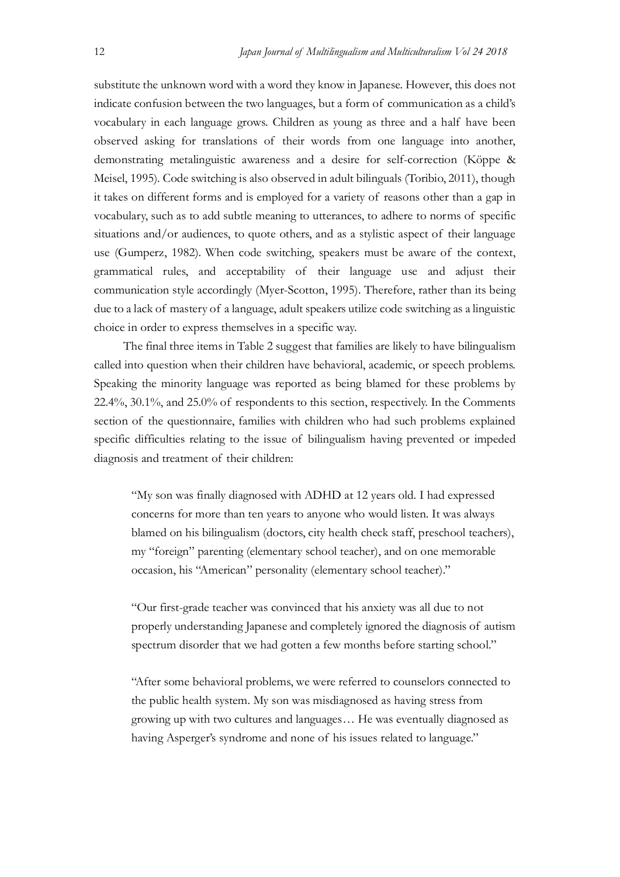substitute the unknown word with a word they know in Japanese. However, this does not indicate confusion between the two languages, but a form of communication as a child's vocabulary in each language grows. Children as young as three and a half have been observed asking for translations of their words from one language into another, demonstrating metalinguistic awareness and a desire for self-correction (Köppe & Meisel, 1995). Code switching is also observed in adult bilinguals (Toribio, 2011), though it takes on different forms and is employed for a variety of reasons other than a gap in vocabulary, such as to add subtle meaning to utterances, to adhere to norms of specific situations and/or audiences, to quote others, and as a stylistic aspect of their language use (Gumperz, 1982). When code switching, speakers must be aware of the context, grammatical rules, and acceptability of their language use and adjust their communication style accordingly (Myer-Scotton, 1995). Therefore, rather than its being due to a lack of mastery of a language, adult speakers utilize code switching as a linguistic choice in order to express themselves in a specific way.

The final three items in Table 2 suggest that families are likely to have bilingualism called into question when their children have behavioral, academic, or speech problems. Speaking the minority language was reported as being blamed for these problems by 22.4%, 30.1%, and 25.0% of respondents to this section, respectively. In the Comments section of the questionnaire, families with children who had such problems explained specific difficulties relating to the issue of bilingualism having prevented or impeded diagnosis and treatment of their children:

"My son was finally diagnosed with ADHD at 12 years old. I had expressed concerns for more than ten years to anyone who would listen. It was always blamed on his bilingualism (doctors, city health check staff, preschool teachers), my "foreign" parenting (elementary school teacher), and on one memorable occasion, his "American" personality (elementary school teacher)."

"Our first-grade teacher was convinced that his anxiety was all due to not properly understanding Japanese and completely ignored the diagnosis of autism spectrum disorder that we had gotten a few months before starting school."

"After some behavioral problems, we were referred to counselors connected to the public health system. My son was misdiagnosed as having stress from growing up with two cultures and languages… He was eventually diagnosed as having Asperger's syndrome and none of his issues related to language."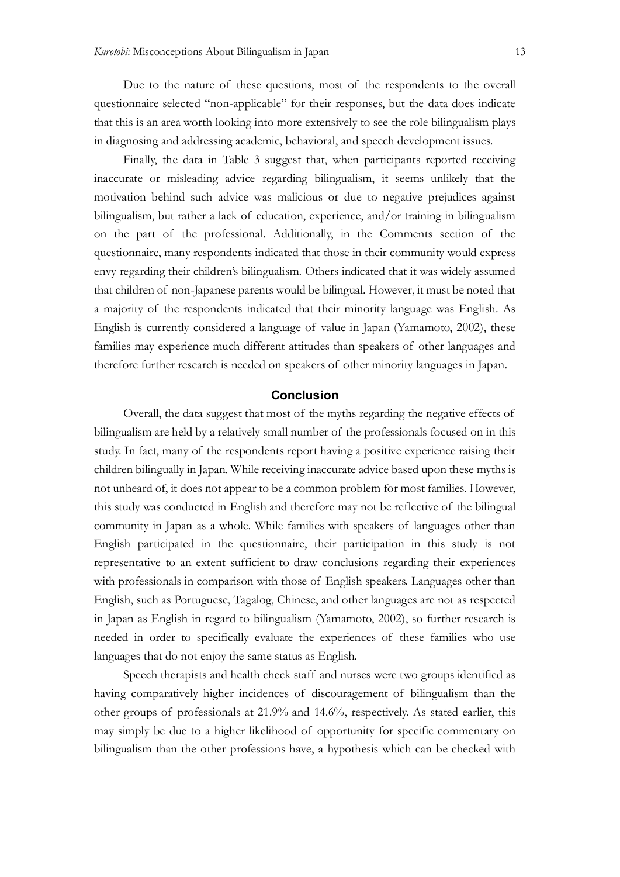Due to the nature of these questions, most of the respondents to the overall questionnaire selected "non-applicable" for their responses, but the data does indicate that this is an area worth looking into more extensively to see the role bilingualism plays in diagnosing and addressing academic, behavioral, and speech development issues.

Finally, the data in Table 3 suggest that, when participants reported receiving inaccurate or misleading advice regarding bilingualism, it seems unlikely that the motivation behind such advice was malicious or due to negative prejudices against bilingualism, but rather a lack of education, experience, and/or training in bilingualism on the part of the professional. Additionally, in the Comments section of the questionnaire, many respondents indicated that those in their community would express envy regarding their children's bilingualism. Others indicated that it was widely assumed that children of non-Japanese parents would be bilingual. However, it must be noted that a majority of the respondents indicated that their minority language was English. As English is currently considered a language of value in Japan (Yamamoto, 2002), these families may experience much different attitudes than speakers of other languages and therefore further research is needed on speakers of other minority languages in Japan.

## **Conclusion**

Overall, the data suggest that most of the myths regarding the negative effects of bilingualism are held by a relatively small number of the professionals focused on in this study. In fact, many of the respondents report having a positive experience raising their children bilingually in Japan. While receiving inaccurate advice based upon these myths is not unheard of, it does not appear to be a common problem for most families. However, this study was conducted in English and therefore may not be reflective of the bilingual community in Japan as a whole. While families with speakers of languages other than English participated in the questionnaire, their participation in this study is not representative to an extent sufficient to draw conclusions regarding their experiences with professionals in comparison with those of English speakers. Languages other than English, such as Portuguese, Tagalog, Chinese, and other languages are not as respected in Japan as English in regard to bilingualism (Yamamoto, 2002), so further research is needed in order to specifically evaluate the experiences of these families who use languages that do not enjoy the same status as English.

Speech therapists and health check staff and nurses were two groups identified as having comparatively higher incidences of discouragement of bilingualism than the other groups of professionals at 21.9% and 14.6%, respectively. As stated earlier, this may simply be due to a higher likelihood of opportunity for specific commentary on bilingualism than the other professions have, a hypothesis which can be checked with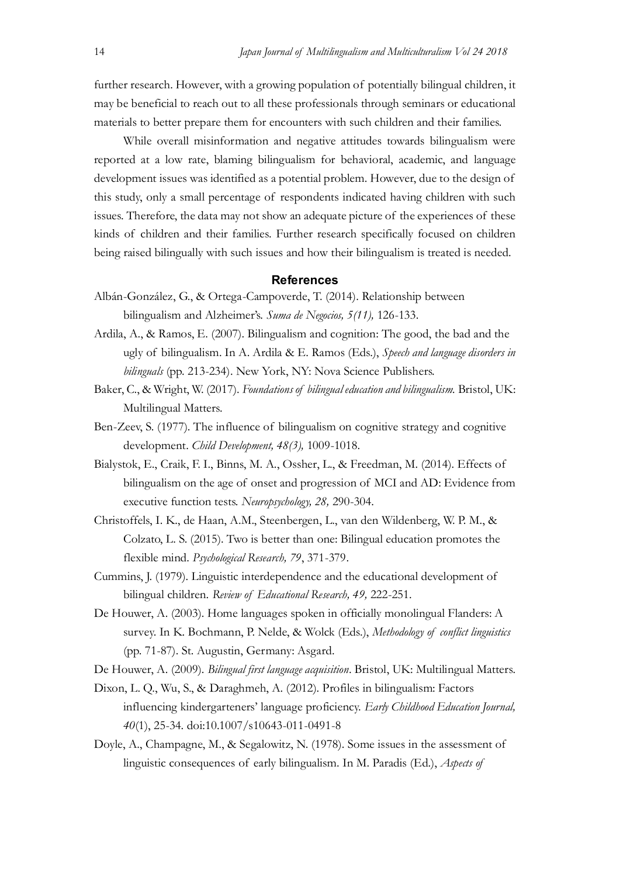further research. However, with a growing population of potentially bilingual children, it may be beneficial to reach out to all these professionals through seminars or educational materials to better prepare them for encounters with such children and their families.

While overall misinformation and negative attitudes towards bilingualism were reported at a low rate, blaming bilingualism for behavioral, academic, and language development issues was identified as a potential problem. However, due to the design of this study, only a small percentage of respondents indicated having children with such issues. Therefore, the data may not show an adequate picture of the experiences of these kinds of children and their families. Further research specifically focused on children being raised bilingually with such issues and how their bilingualism is treated is needed.

## **References**

- Albán-González, G., & Ortega-Campoverde, T. (2014). Relationship between bilingualism and Alzheimer's. Suma de Negocios, 5(11), 126-133.
- Ardila, A., & Ramos, E. (2007). Bilingualism and cognition: The good, the bad and the ugly of bilingualism. In A. Ardila & E. Ramos (Eds.), Speech and language disorders in bilinguals (pp. 213-234). New York, NY: Nova Science Publishers.
- Baker, C., & Wright, W. (2017). Foundations of bilingual education and bilingualism. Bristol, UK: Multilingual Matters.
- Ben-Zeev, S. (1977). The influence of bilingualism on cognitive strategy and cognitive development. Child Development, 48(3), 1009-1018.
- Bialystok, E., Craik, F. I., Binns, M. A., Ossher, L., & Freedman, M. (2014). Effects of bilingualism on the age of onset and progression of MCI and AD: Evidence from executive function tests. Neuropsychology, 28, 290-304.
- Christoffels, I. K., de Haan, A.M., Steenbergen, L., van den Wildenberg, W. P. M., & Colzato, L. S. (2015). Two is better than one: Bilingual education promotes the flexible mind. Psychological Research, 79, 371-379.
- Cummins, J. (1979). Linguistic interdependence and the educational development of bilingual children. Review of Educational Research, 49, 222-251.
- De Houwer, A. (2003). Home languages spoken in officially monolingual Flanders: A survey. In K. Bochmann, P. Nelde, & Wolck (Eds.), Methodology of conflict linguistics (pp. 71-87). St. Augustin, Germany: Asgard.
- De Houwer, A. (2009). Bilingual first language acquisition. Bristol, UK: Multilingual Matters.
- Dixon, L. Q., Wu, S., & Daraghmeh, A. (2012). Profiles in bilingualism: Factors influencing kindergarteners' language proficiency. Early Childhood Education Journal, 40(1), 25-34. doi:10.1007/s10643-011-0491-8
- Doyle, A., Champagne, M., & Segalowitz, N. (1978). Some issues in the assessment of linguistic consequences of early bilingualism. In M. Paradis (Ed.), Aspects of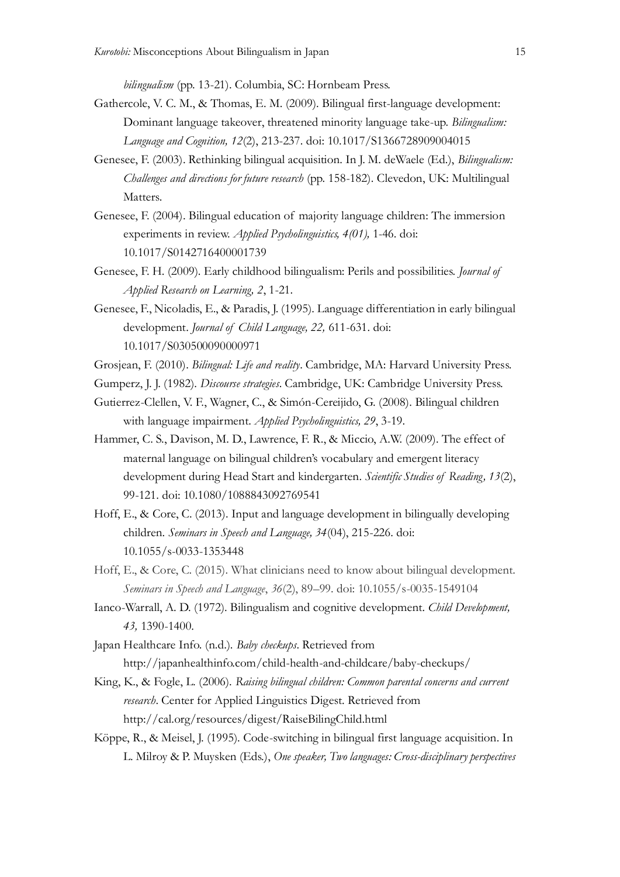bilingualism (pp. 13-21). Columbia, SC: Hornbeam Press.

- Gathercole, V. C. M., & Thomas, E. M. (2009). Bilingual first-language development: Dominant language takeover, threatened minority language take-up. Bilingualism: Language and Cognition, 12(2), 213-237. doi: 10.1017/S1366728909004015
- Genesee, F. (2003). Rethinking bilingual acquisition. In J. M. deWaele (Ed.), *Bilingualism*: Challenges and directions for future research (pp. 158-182). Clevedon, UK: Multilingual Matters.
- Genesee, F. (2004). Bilingual education of majority language children: The immersion experiments in review. Applied Psycholinguistics, 4(01), 1-46. doi: 10.1017/S0142716400001739
- Genesee, F. H. (2009). Early childhood bilingualism: Perils and possibilities. *Journal of* Applied Research on Learning, 2, 1-21.
- Genesee, F., Nicoladis, E., & Paradis, J. (1995). Language differentiation in early bilingual development. Journal of Child Language, 22, 611-631. doi: 10.1017/S030500090000971
- Grosjean, F. (2010). Bilingual: Life and reality. Cambridge, MA: Harvard University Press.
- Gumperz, J. J. (1982). Discourse strategies. Cambridge, UK: Cambridge University Press.
- Gutierrez-Clellen, V. F., Wagner, C., & Simón-Cereijido, G. (2008). Bilingual children with language impairment. Applied Psycholinguistics, 29, 3-19.
- Hammer, C. S., Davison, M. D., Lawrence, F. R., & Miccio, A.W. (2009). The effect of maternal language on bilingual children's vocabulary and emergent literacy development during Head Start and kindergarten. Scientific Studies of Reading, 13(2), 99-121. doi: 10.1080/1088843092769541
- Hoff, E., & Core, C. (2013). Input and language development in bilingually developing children. Seminars in Speech and Language, 34(04), 215-226. doi: 10.1055/s-0033-1353448
- Hoff, E., & Core, C. (2015). What clinicians need to know about bilingual development. Seminars in Speech and Language, 36(2), 89–99. doi: 10.1055/s-0035-1549104
- Ianco-Warrall, A. D. (1972). Bilingualism and cognitive development. Child Development, 43, 1390-1400.

Japan Healthcare Info. (n.d.). Baby checkups. Retrieved from http://japanhealthinfo.com/child-health-and-childcare/baby-checkups/

- King, K., & Fogle, L. (2006). Raising bilingual children: Common parental concerns and current research. Center for Applied Linguistics Digest. Retrieved from http://cal.org/resources/digest/RaiseBilingChild.html
- Köppe, R., & Meisel, J. (1995). Code-switching in bilingual first language acquisition. In L. Milroy & P. Muysken (Eds.), One speaker, Two languages: Cross-disciplinary perspectives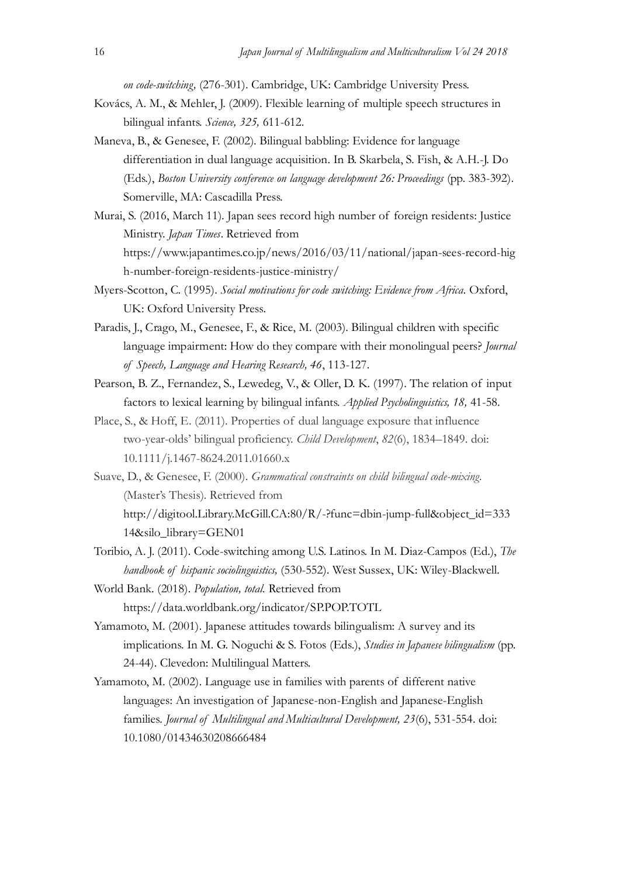on code-switching, (276-301). Cambridge, UK: Cambridge University Press.

- Kovács, A. M., & Mehler, J. (2009). Flexible learning of multiple speech structures in bilingual infants. Science, 325, 611-612.
- Maneva, B., & Genesee, F. (2002). Bilingual babbling: Evidence for language differentiation in dual language acquisition. In B. Skarbela, S. Fish, & A.H.-J. Do (Eds.), Boston University conference on language development 26: Proceedings (pp. 383-392). Somerville, MA: Cascadilla Press.
- Murai, S. (2016, March 11). Japan sees record high number of foreign residents: Justice Ministry. Japan Times. Retrieved from https://www.japantimes.co.jp/news/2016/03/11/national/japan-sees-record-hig h-number-foreign-residents-justice-ministry/
- Myers-Scotton, C. (1995). Social motivations for code switching: Evidence from Africa. Oxford, UK: Oxford University Press.
- Paradis, J., Crago, M., Genesee, F., & Rice, M. (2003). Bilingual children with specific language impairment: How do they compare with their monolingual peers? *Journal* of Speech, Language and Hearing Research, 46, 113-127.
- Pearson, B. Z., Fernandez, S., Lewedeg, V., & Oller, D. K. (1997). The relation of input factors to lexical learning by bilingual infants. Applied Psycholinguistics, 18, 41-58.
- Place, S., & Hoff, E. (2011). Properties of dual language exposure that influence two-year-olds' bilingual proficiency. Child Development, 82(6), 1834–1849. doi: 10.1111/j.1467-8624.2011.01660.x
- Suave, D., & Genesee, F. (2000). Grammatical constraints on child bilingual code-mixing. (Master's Thesis). Retrieved from http://digitool.Library.McGill.CA:80/R/-?func=dbin-jump-full&object\_id=333 14&silo\_library=GEN01
- Toribio, A. J. (2011). Code-switching among U.S. Latinos. In M. Diaz-Campos (Ed.), The handbook of hispanic sociolinguistics, (530-552). West Sussex, UK: Wiley-Blackwell.
- World Bank. (2018). Population, total. Retrieved from https://data.worldbank.org/indicator/SP.POP.TOTL
- Yamamoto, M. (2001). Japanese attitudes towards bilingualism: A survey and its implications. In M. G. Noguchi & S. Fotos (Eds.), Studies in Japanese bilingualism (pp. 24-44). Clevedon: Multilingual Matters.
- Yamamoto, M. (2002). Language use in families with parents of different native languages: An investigation of Japanese-non-English and Japanese-English families. Journal of Multilingual and Multicultural Development, 23(6), 531-554. doi: 10.1080/01434630208666484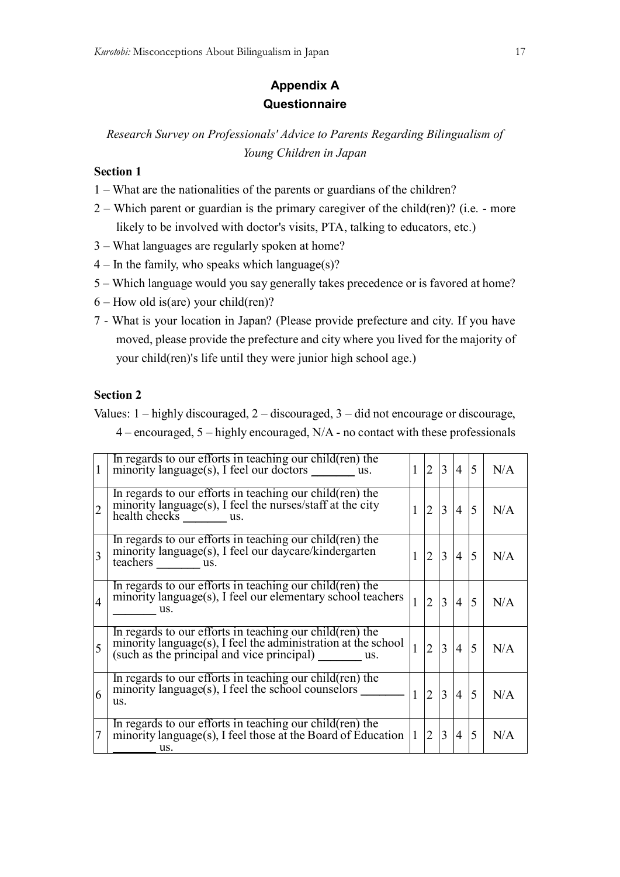# **Appendix A Questionnaire**

*Research Survey on Professionals' Advice to Parents Regarding Bilingualism of Young Children in Japan*

## **Section 1**

- 1 What are the nationalities of the parents or guardians of the children?
- 2 Which parent or guardian is the primary caregiver of the child(ren)? (i.e. more likely to be involved with doctor's visits, PTA, talking to educators, etc.)
- 3 What languages are regularly spoken at home?
- $4 -$  In the family, who speaks which language(s)?
- 5 Which language would you say generally takes precedence or is favored at home?
- $6$  How old is(are) your child(ren)?
- 7 What is your location in Japan? (Please provide prefecture and city. If you have moved, please provide the prefecture and city where you lived for the majority of your child(ren)'s life until they were junior high school age.)

## **Section 2**

Values: 1 – highly discouraged, 2 – discouraged, 3 – did not encourage or discourage,

4 – encouraged, 5 – highly encouraged, N/A - no contact with these professionals

| $\mathbf{1}$   | In regards to our efforts in teaching our child (ren) the<br>minority language(s), I feel our doctors ________ us.                                |              | 2              | $\overline{3}$ | $4 \overline{5}$  |                | N/A |
|----------------|---------------------------------------------------------------------------------------------------------------------------------------------------|--------------|----------------|----------------|-------------------|----------------|-----|
| $\overline{2}$ | In regards to our efforts in teaching our child (ren) the<br>minority language(s), I feel the nurses/staff at the city<br>health checks us.       |              | $\overline{2}$ | 3              | $\overline{4}$    | $\overline{5}$ | N/A |
| $\overline{3}$ | In regards to our efforts in teaching our child (ren) the<br>minority language(s), I feel our daycare/kindergarten<br>teachers _________ us.      |              | 2              | 3              | $\overline{4}$    | $\overline{5}$ | N/A |
| $\overline{4}$ | In regards to our efforts in teaching our child(ren) the<br>minority language(s), I feel our elementary school teachers<br>$\equiv$ us.           |              | $\overline{2}$ | 3              | $\overline{4}$    | $\overline{5}$ | N/A |
| 5              | In regards to our efforts in teaching our child(ren) the                                                                                          | $\vert$ 1    | $\overline{2}$ | 3              | $\vert 4 \vert 5$ |                | N/A |
| 6              | In regards to our efforts in teaching our child $(ren)$ the<br>minority language(s), I feel the school counselors $\overline{\phantom{a}}$<br>us. | $\mathbf{1}$ | $ 2\rangle$    | $\overline{3}$ | $\overline{4}$    | $\overline{5}$ | N/A |
| $\overline{7}$ | In regards to our efforts in teaching our child(ren) the<br>minority language(s), I feel those at the Board of Éducation $ 1 $<br>us.             |              | 2              | 3              | $\overline{4}$    | 5              | N/A |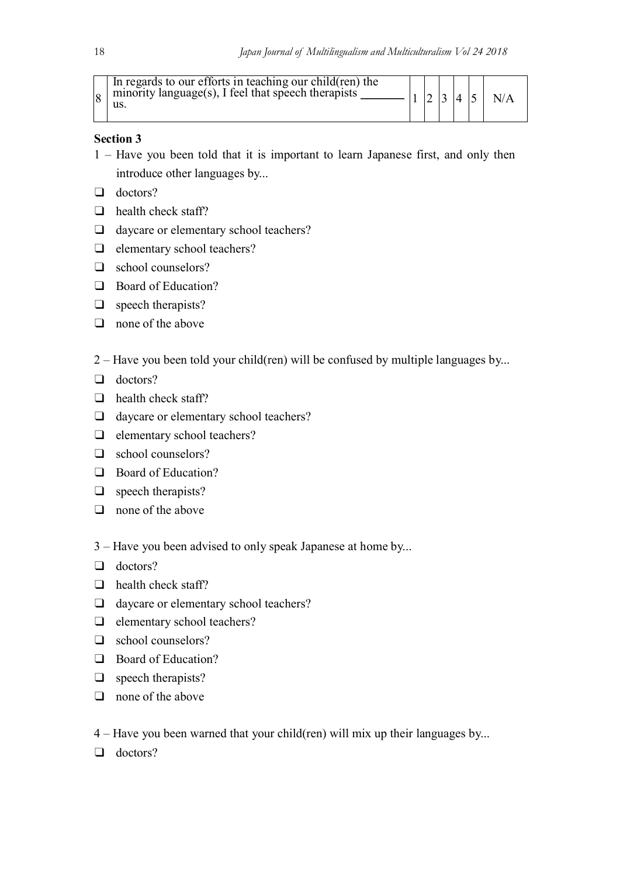|  | In regards to our efforts in teaching our child (ren) the<br>$ 8 $ minority language(s), I feel that speech therapists<br>us. |  |  |  | $\overline{4}$ |  | N/A |  |
|--|-------------------------------------------------------------------------------------------------------------------------------|--|--|--|----------------|--|-----|--|
|--|-------------------------------------------------------------------------------------------------------------------------------|--|--|--|----------------|--|-----|--|

## **Section 3**

- 1 Have you been told that it is important to learn Japanese first, and only then introduce other languages by...
- $\Box$  doctors?
- $\Box$  health check staff?
- □ daycare or elementary school teachers?
- $\Box$  elementary school teachers?
- school counselors?
- □ Board of Education?
- **u** speech therapists?
- $\Box$  none of the above
- 2 Have you been told your child(ren) will be confused by multiple languages by...
- $\Box$  doctors?
- $\Box$  health check staff?
- daycare or elementary school teachers?
- $\Box$  elementary school teachers?
- □ school counselors?
- Board of Education?
- **u** speech therapists?
- $\Box$  none of the above
- 3 Have you been advised to only speak Japanese at home by...
- **d** doctors?
- $\Box$  health check staff?
- daycare or elementary school teachers?
- $\Box$  elementary school teachers?
- □ school counselors?
- **Board of Education?**
- **u** speech therapists?
- $\Box$  none of the above
- 4 Have you been warned that your child(ren) will mix up their languages by...
- **doctors?**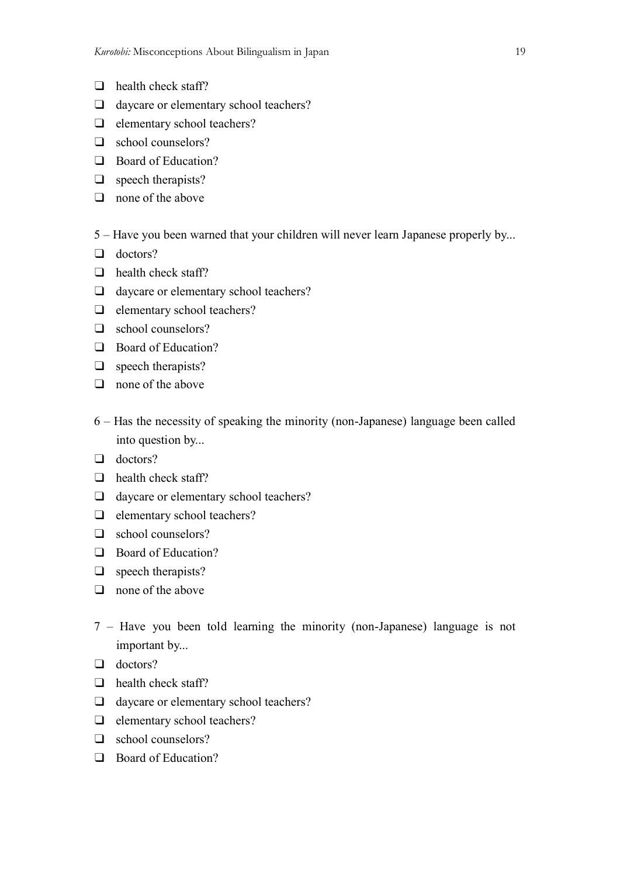- $\Box$  health check staff?
- daycare or elementary school teachers?
- $\Box$  elementary school teachers?
- school counselors?
- □ Board of Education?
- $\Box$  speech therapists?
- $\Box$  none of the above
- 5 Have you been warned that your children will never learn Japanese properly by...
- Q doctors?
- $\Box$  health check staff?
- daycare or elementary school teachers?
- $\Box$  elementary school teachers?
- □ school counselors?
- Board of Education?
- $\Box$  speech therapists?
- $\Box$  none of the above
- 6 Has the necessity of speaking the minority (non-Japanese) language been called into question by...
- Q doctors?
- $\Box$  health check staff?
- daycare or elementary school teachers?
- $\Box$  elementary school teachers?
- □ school counselors?
- **Board of Education?**
- $\Box$  speech therapists?
- $\Box$  none of the above
- 7 Have you been told learning the minority (non-Japanese) language is not important by...
- $\Box$  doctors?
- $\Box$  health check staff?
- daycare or elementary school teachers?
- $\Box$  elementary school teachers?
- □ school counselors?
- Board of Education?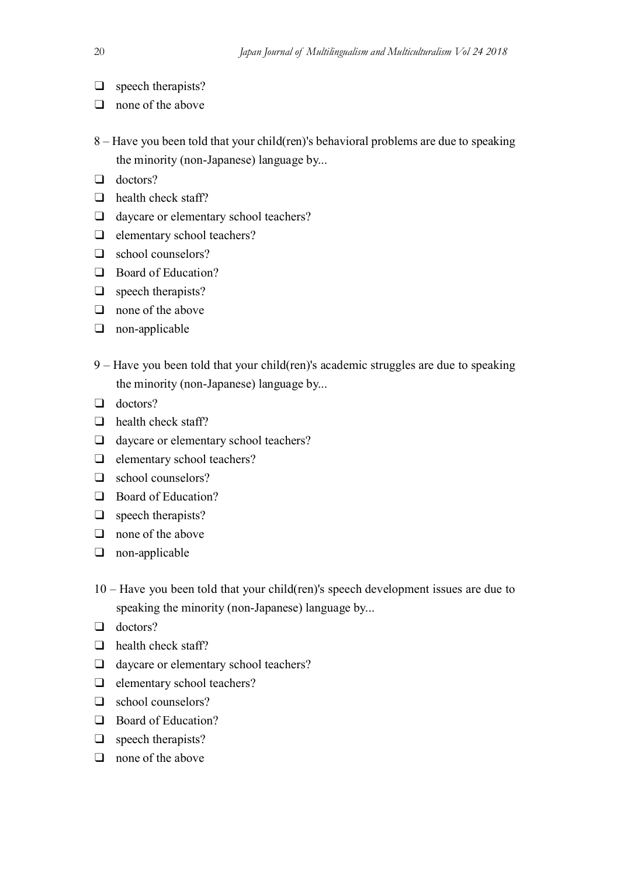- $\Box$  speech therapists?
- $\Box$  none of the above
- 8 Have you been told that your child(ren)'s behavioral problems are due to speaking the minority (non-Japanese) language by...
- $\Box$  doctors?
- $\Box$  health check staff?
- □ daycare or elementary school teachers?
- $\Box$  elementary school teachers?
- school counselors?
- **Board of Education?**
- $\Box$  speech therapists?
- $\Box$  none of the above
- non-applicable
- 9 Have you been told that your child(ren)'s academic struggles are due to speaking the minority (non-Japanese) language by...
- $\Box$  doctors?
- $\Box$  health check staff?
- daycare or elementary school teachers?
- $\Box$  elementary school teachers?
- □ school counselors?
- □ Board of Education?
- $\Box$  speech therapists?
- $\Box$  none of the above
- non-applicable
- 10 Have you been told that your child(ren)'s speech development issues are due to speaking the minority (non-Japanese) language by...
- **doctors?**
- $\Box$  health check staff?
- □ daycare or elementary school teachers?
- $\Box$  elementary school teachers?
- school counselors?
- **Board of Education?**
- $\Box$  speech therapists?
- $\Box$  none of the above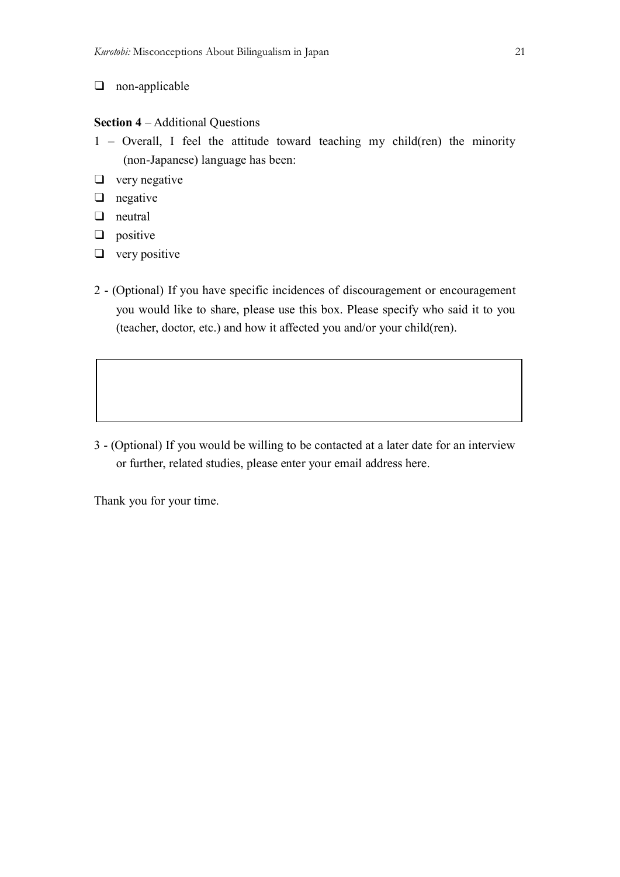## non-applicable

## **Section 4** – Additional Questions

- 1 Overall, I feel the attitude toward teaching my child(ren) the minority (non-Japanese) language has been:
- $\Box$  very negative
- $\Box$  negative
- neutral
- $\Box$  positive
- $\Box$  very positive
- 2 (Optional) If you have specific incidences of discouragement or encouragement you would like to share, please use this box. Please specify who said it to you (teacher, doctor, etc.) and how it affected you and/or your child(ren).

3 - (Optional) If you would be willing to be contacted at a later date for an interview or further, related studies, please enter your email address here.

Thank you for your time.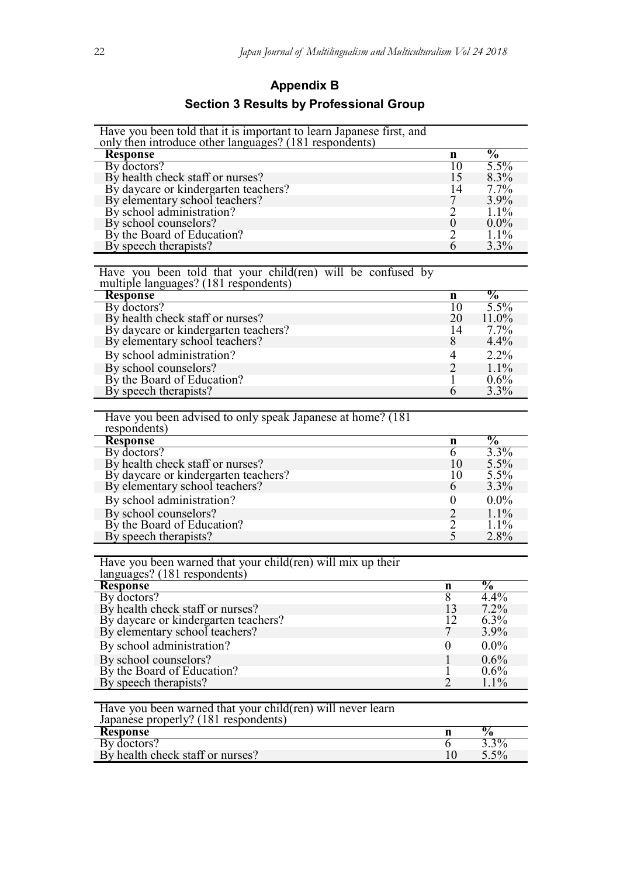# **Appendix B Section 3 Results by Professional Group**

| Have you been told that it is important to learn Japanese first, and<br>only then introduce other languages? (181 respondents) |                     |                          |
|--------------------------------------------------------------------------------------------------------------------------------|---------------------|--------------------------|
| <b>Response</b>                                                                                                                | n                   | $\frac{0}{2}$            |
| By doctors?                                                                                                                    | 10                  | 5.5%                     |
| By health check staff or nurses?                                                                                               | 15                  | 8.3%                     |
| By daycare or kindergarten teachers?                                                                                           | 14                  | 7.7%                     |
| By elementary school teachers?                                                                                                 | 7                   | 3.9%                     |
| By school administration?                                                                                                      | $\overline{2}$      | $1.1\%$                  |
| By school counselors?                                                                                                          | $\boldsymbol{0}$    | $0.0\%$                  |
| By the Board of Education?                                                                                                     | $\overline{2}$      | 1.1%                     |
| By speech therapists?                                                                                                          | 6                   | 3.3%                     |
|                                                                                                                                |                     |                          |
| Have you been told that your child(ren) will be confused by                                                                    |                     |                          |
| multiple languages? (181 respondents)                                                                                          |                     |                          |
| <b>Response</b><br>By doctors?                                                                                                 | n<br>10             | $\frac{0}{0}$<br>$5.5\%$ |
| By health check staff or nurses?                                                                                               | 20                  | 11.0%                    |
| By daycare or kindergarten teachers?                                                                                           | 14                  | 7.7%                     |
| By elementary school teachers?                                                                                                 | 8                   | 4.4%                     |
| By school administration?                                                                                                      | 4                   | 2.2%                     |
|                                                                                                                                |                     | 1.1%                     |
| By school counselors?<br>By the Board of Education?                                                                            | $\overline{2}$<br>1 | $0.6\%$                  |
| By speech therapists?                                                                                                          | 6                   | 3.3%                     |
|                                                                                                                                |                     |                          |
| Have you been advised to only speak Japanese at home? (181)                                                                    |                     |                          |
| respondents)                                                                                                                   |                     |                          |
| <b>Response</b>                                                                                                                | n                   | $\frac{0}{0}$            |
| By doctors?                                                                                                                    | 6                   | 3.3%                     |
| By health check staff or nurses?                                                                                               | 10                  | 5.5%                     |
| By daycare or kindergarten teachers?                                                                                           | 10                  | 5.5%                     |
| By elementary school teachers?                                                                                                 | 6                   | 3.3%                     |
| By school administration?                                                                                                      | $\boldsymbol{0}$    | $0.0\%$                  |
| By school counselors?                                                                                                          | $\overline{2}$      | 1.1%                     |
| By the Board of Education?                                                                                                     | 2                   | $1.1\%$                  |
| By speech therapists?                                                                                                          | 5                   | 2.8%                     |
|                                                                                                                                |                     |                          |
| Have you been warned that your child (ren) will mix up their                                                                   |                     |                          |
| languages? (181 respondents)                                                                                                   |                     | $\frac{0}{0}$            |
| <b>Response</b><br>By doctors?                                                                                                 | n<br>8              | 4.4%                     |
| By health check staff or nurses?                                                                                               | 13                  | 7.2%                     |
| By daycare or kindergarten teachers?                                                                                           | 12                  | 6.3%                     |
| By elementary school teachers?                                                                                                 | 7                   | 3.9%                     |
| By school administration?                                                                                                      | $\overline{0}$      | $0.0\%$                  |
| By school counselors?                                                                                                          | 1                   | 0.6%                     |
| By the Board of Education?                                                                                                     | 1                   | 0.6%                     |
| By speech therapists?                                                                                                          | $\overline{2}$      | 1.1%                     |
|                                                                                                                                |                     |                          |
| Have you been warned that your child (ren) will never learn                                                                    |                     |                          |
| Japanese properly? (181 respondents)                                                                                           |                     |                          |
| <b>Response</b>                                                                                                                | n                   | $\frac{1}{2}$            |
| By doctors?                                                                                                                    | 6                   | 3.3%                     |
| By health check staff or nurses?                                                                                               | 10                  | 5.5%                     |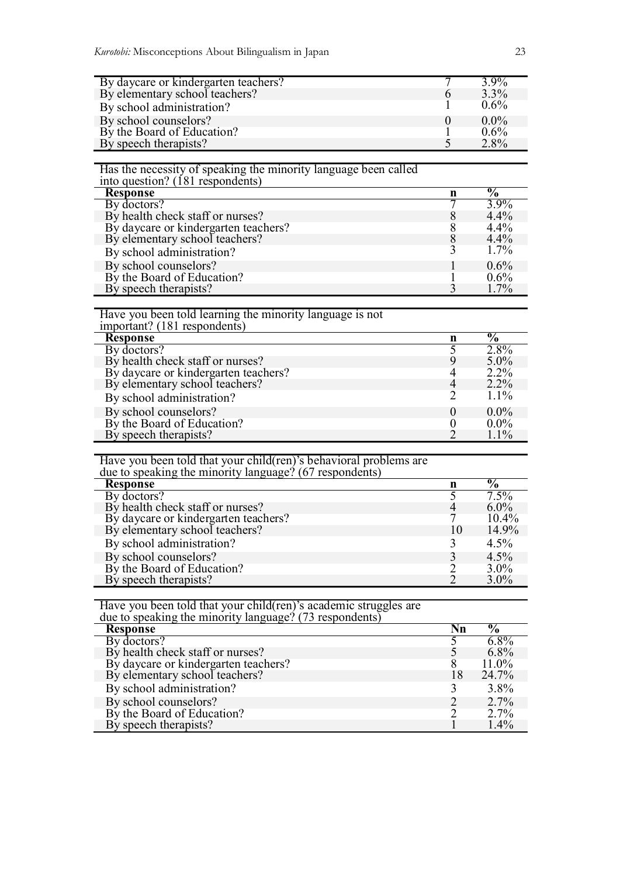| By daycare or kindergarten teachers? | $3.9\%$ |
|--------------------------------------|---------|
| By elementary school teachers?       | $3.3\%$ |
| By school administration?            | $0.6\%$ |
| By school counselors?                | $0.0\%$ |
| By the Board of Education?           | $0.6\%$ |
| By speech therapists?                | 2.8%    |

## Has the necessity of speaking the minority language been called

| into question? (181 respondents)     |   |                           |
|--------------------------------------|---|---------------------------|
| <b>Response</b>                      | n | $\overline{\mathbf{v}}_0$ |
| By doctors?                          |   | $3.9\%$                   |
| By health check staff or nurses?     |   | $4.4\%$                   |
| By daycare or kindergarten teachers? |   | 4.4%                      |
| By elementary school teachers?       |   | $4.4\%$                   |
| By school administration?            |   | $1.7\%$                   |
| By school counselors?                |   | $0.6\%$                   |
| By the Board of Education?           |   | $0.6\%$                   |
| By speech therapists?                |   | $1.7\%$                   |

#### Have you been told learning the minority language is not important? (181 respondents)

| mportant: (101 respondents)          |   |                 |
|--------------------------------------|---|-----------------|
| <b>Response</b>                      | n | $\overline{\%}$ |
| By doctors?                          |   | 2.8%            |
| By health check staff or nurses?     |   | $5.0\%$         |
| By daycare or kindergarten teachers? |   | $2.2\%$         |
| By elementary school teachers?       |   | $2.2\%$         |
| By school administration?            |   | $1.1\%$         |
| By school counselors?                |   | $0.0\%$         |
| By the Board of Education?           |   | $0.0\%$         |
| By speech therapists?                |   | $1.1\%$         |

# Have you been told that your child(ren)'s behavioral problems are

| due to speaking the minority language? (67 respondents) |    |                           |
|---------------------------------------------------------|----|---------------------------|
| <b>Response</b>                                         | n  | $\overline{\mathbf{v}}_0$ |
| By doctors?                                             |    | $7.5\%$                   |
| By health check staff or nurses?                        |    | $6.0\%$                   |
| By daycare or kindergarten teachers?                    |    | 10.4%                     |
| By elementary school teachers?                          | 10 | 14.9%                     |
| By school administration?                               |    | $4.5\%$                   |
| By school counselors?                                   |    | $4.5\%$                   |
| By the Board of Education?                              |    | $3.0\%$                   |
| By speech therapists?                                   |    | $3.0\%$                   |

# Have you been told that your child(ren)'s academic struggles are due to speaking the minority language? (73 respondents)

| $\frac{1}{2}$ and to speaking the influence and $\frac{1}{2}$ and $\frac{1}{2}$ is responsible. |                        |         |
|-------------------------------------------------------------------------------------------------|------------------------|---------|
| <b>Response</b>                                                                                 | $\mathbf{N}\mathbf{n}$ | $\%$    |
| By doctors?                                                                                     |                        | $6.8\%$ |
| By health check staff or nurses?                                                                |                        | $6.8\%$ |
| By daycare or kindergarten teachers?                                                            |                        | 11.0%   |
| By elementary school teachers?                                                                  | 18                     | 24.7%   |
| By school administration?                                                                       |                        | 3.8%    |
| By school counselors?                                                                           |                        | 2.7%    |
| By the Board of Education?                                                                      |                        | 2.7%    |
| By speech therapists?                                                                           |                        | $1.4\%$ |